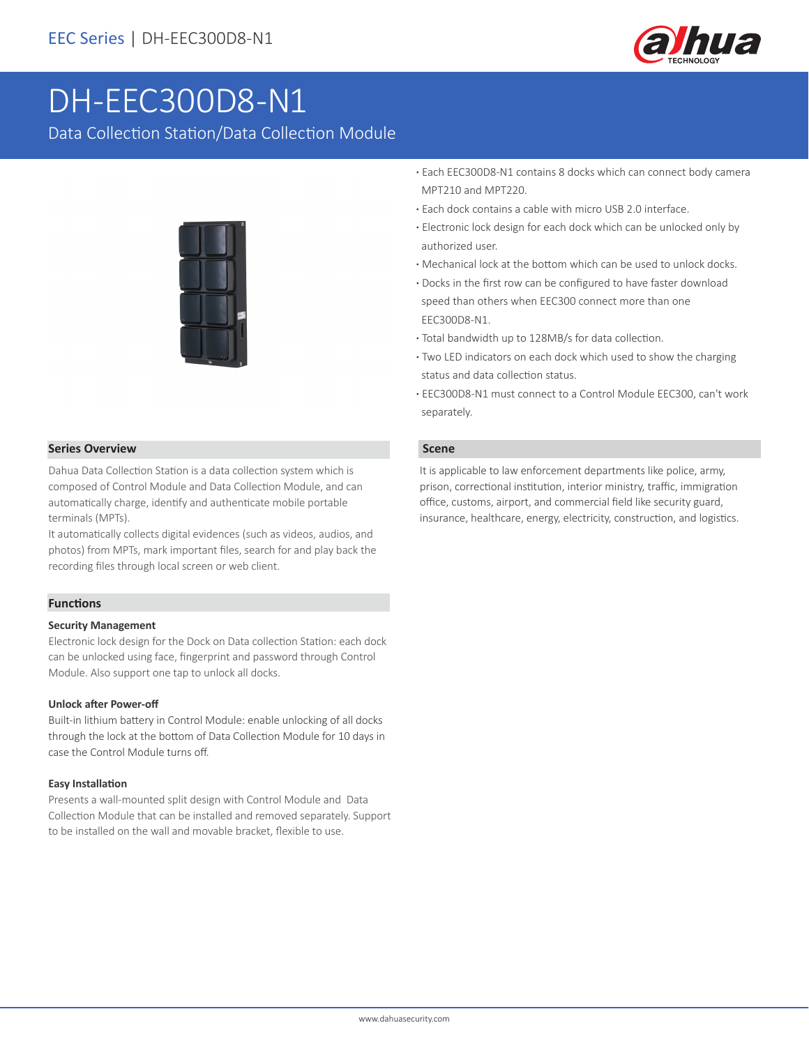

# DH-EEC300D8-N1

Data Collection Station/Data Collection Module



# **·** Each EEC300D8-N1 contains 8 docks which can connect body camera MPT210 and MPT220. **·** Each dock contains a cable with micro USB 2.0 interface.

- **·** Electronic lock design for each dock which can be unlocked only by authorized user.
- **·** Mechanical lock at the bottom which can be used to unlock docks.
- **·** Docks in the first row can be configured to have faster download speed than others when EEC300 connect more than one EEC300D8-N1.
- **·** Total bandwidth up to 128MB/s for data collection.
- **·** Two LED indicators on each dock which used to show the charging status and data collection status.
- **·** EEC300D8-N1 must connect to a Control Module EEC300, can't work separately.

## **Scene**

It is applicable to law enforcement departments like police, army, prison, correctional institution, interior ministry, traffic, immigration office, customs, airport, and commercial field like security guard, insurance, healthcare, energy, electricity, construction, and logistics.

#### **Series Overview**

Dahua Data Collection Station is a data collection system which is composed of Control Module and Data Collection Module, and can automatically charge, identify and authenticate mobile portable terminals (MPTs).

It automatically collects digital evidences (such as videos, audios, and photos) from MPTs, mark important files, search for and play back the recording files through local screen or web client.

## **Functions**

#### **Security Management**

Electronic lock design for the Dock on Data collection Station: each dock can be unlocked using face, fingerprint and password through Control Module. Also support one tap to unlock all docks.

#### **Unlock after Power-off**

Built-in lithium battery in Control Module: enable unlocking of all docks through the lock at the bottom of Data Collection Module for 10 days in case the Control Module turns off.

#### **Easy Installation**

Presents a wall-mounted split design with Control Module and Data Collection Module that can be installed and removed separately. Support to be installed on the wall and movable bracket, flexible to use.